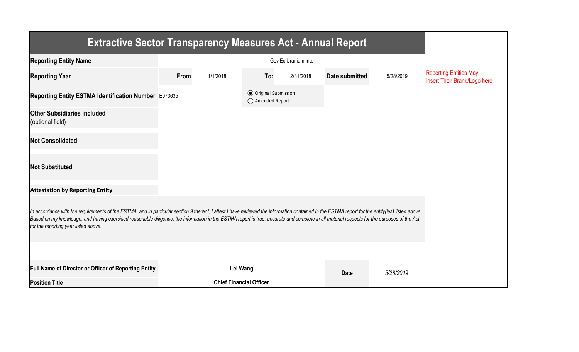| <b>Extractive Sector Transparency Measures Act - Annual Report</b>                                                                                                                                                                                                                                                                                                                                                                    |      |                                |                                                  |            |                |           |                                                               |  |  |  |
|---------------------------------------------------------------------------------------------------------------------------------------------------------------------------------------------------------------------------------------------------------------------------------------------------------------------------------------------------------------------------------------------------------------------------------------|------|--------------------------------|--------------------------------------------------|------------|----------------|-----------|---------------------------------------------------------------|--|--|--|
| <b>Reporting Entity Name</b>                                                                                                                                                                                                                                                                                                                                                                                                          |      |                                |                                                  |            |                |           |                                                               |  |  |  |
| <b>Reporting Year</b>                                                                                                                                                                                                                                                                                                                                                                                                                 | From | 1/1/2018                       | To:                                              | 12/31/2018 | Date submitted | 5/28/2019 | <b>Reporting Entities May</b><br>Insert Their Brand/Logo here |  |  |  |
| Reporting Entity ESTMA Identification Number E073635                                                                                                                                                                                                                                                                                                                                                                                  |      |                                | <b>◎</b> Original Submission<br>◯ Amended Report |            |                |           |                                                               |  |  |  |
| <b>Other Subsidiaries Included</b><br>(optional field)                                                                                                                                                                                                                                                                                                                                                                                |      |                                |                                                  |            |                |           |                                                               |  |  |  |
| <b>Not Consolidated</b>                                                                                                                                                                                                                                                                                                                                                                                                               |      |                                |                                                  |            |                |           |                                                               |  |  |  |
| <b>Not Substituted</b>                                                                                                                                                                                                                                                                                                                                                                                                                |      |                                |                                                  |            |                |           |                                                               |  |  |  |
| <b>Attestation by Reporting Entity</b>                                                                                                                                                                                                                                                                                                                                                                                                |      |                                |                                                  |            |                |           |                                                               |  |  |  |
| In accordance with the requirements of the ESTMA, and in particular section 9 thereof, I attest I have reviewed the information contained in the ESTMA report for the entity(ies) listed above.<br>Based on my knowledge, and having exercised reasonable diligence, the information in the ESTMA report is true, accurate and complete in all material respects for the purposes of the Act,<br>for the reporting year listed above. |      |                                |                                                  |            |                |           |                                                               |  |  |  |
|                                                                                                                                                                                                                                                                                                                                                                                                                                       |      |                                |                                                  |            |                |           |                                                               |  |  |  |
| Full Name of Director or Officer of Reporting Entity                                                                                                                                                                                                                                                                                                                                                                                  |      | Lei Wang                       |                                                  |            | <b>Date</b>    | 5/28/2019 |                                                               |  |  |  |
| <b>Position Title</b>                                                                                                                                                                                                                                                                                                                                                                                                                 |      | <b>Chief Financial Officer</b> |                                                  |            |                |           |                                                               |  |  |  |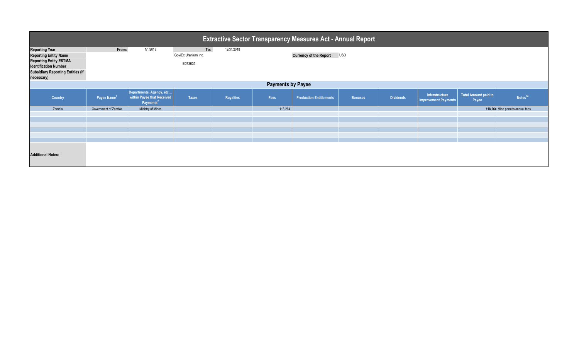| <b>Extractive Sector Transparency Measures Act - Annual Report</b>                                                                                                               |                         |                                                                                 |                                       |                  |         |                                |                |                  |                                               |                               |                                  |
|----------------------------------------------------------------------------------------------------------------------------------------------------------------------------------|-------------------------|---------------------------------------------------------------------------------|---------------------------------------|------------------|---------|--------------------------------|----------------|------------------|-----------------------------------------------|-------------------------------|----------------------------------|
| <b>Reporting Year</b><br><b>Reporting Entity Name</b><br><b>Reporting Entity ESTMA</b><br><b>Identification Number</b><br><b>Subsidiary Reporting Entities (if</b><br>necessary) | From:                   | 1/1/2018                                                                        | To:<br>GoviEx Uranium Inc.<br>E073635 | 12/31/2018       |         | <b>Currency of the Report</b>  | <b>USD</b>     |                  |                                               |                               |                                  |
| <b>Payments by Payee</b>                                                                                                                                                         |                         |                                                                                 |                                       |                  |         |                                |                |                  |                                               |                               |                                  |
| Country                                                                                                                                                                          | Payee Name <sup>1</sup> | Departments, Agency, etc<br>within Payee that Received<br>Payments <sup>2</sup> | <b>Taxes</b>                          | <b>Royalties</b> | Fees    | <b>Production Entitlements</b> | <b>Bonuses</b> | <b>Dividends</b> | Infrastructure<br><b>Improvement Payments</b> | Total Amount paid to<br>Payee | Notes <sup>34</sup>              |
| Zambia                                                                                                                                                                           | Government of Zambia    | Ministry of Mines                                                               |                                       |                  | 118,264 |                                |                |                  |                                               |                               | 118,264 Mine permits annual fees |
|                                                                                                                                                                                  |                         |                                                                                 |                                       |                  |         |                                |                |                  |                                               |                               |                                  |
| <b>Additional Notes:</b>                                                                                                                                                         |                         |                                                                                 |                                       |                  |         |                                |                |                  |                                               |                               |                                  |